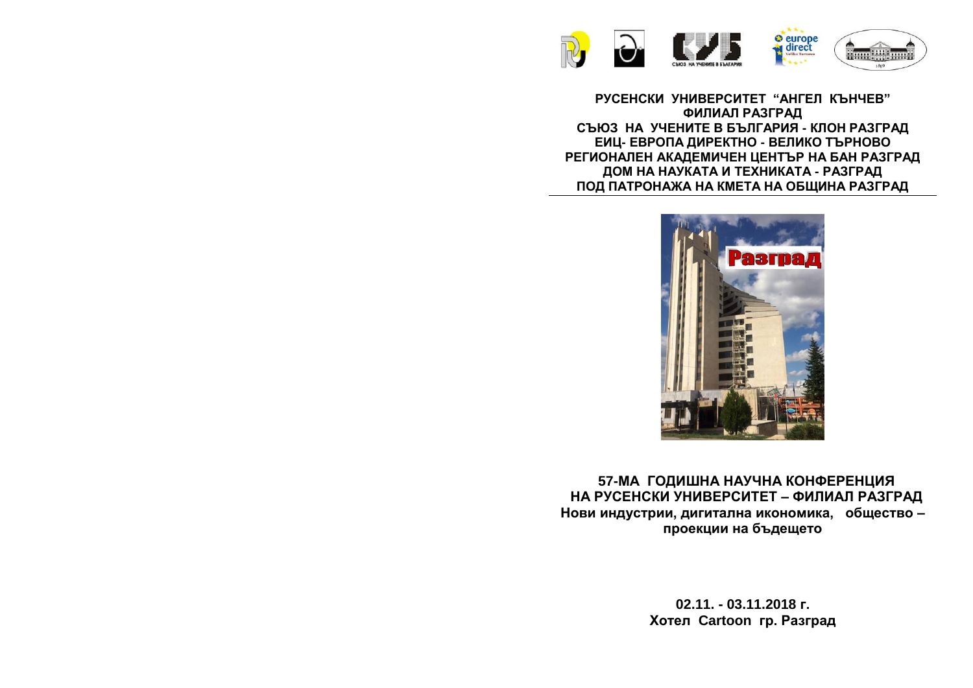

**РУСЕНСКИ УНИВЕРСИТЕТ "АНГЕЛ КЪНЧЕВ" ФИЛИАЛ РАЗГРАД СЪЮЗ НА УЧЕНИТЕ В БЪЛГАРИЯ - КЛОН РАЗГРАД ЕИЦ- ЕВРОПА ДИРЕКТНО - ВЕЛИКО ТЪРНОВО РЕГИОНАЛЕН АКАДЕМИЧЕН ЦЕНТЪР НА БАН РАЗГРАД ДОМ НА НАУКАТА И ТЕХНИКАТА - РАЗГРАД ПОД ПАТРОНАЖА НА КМЕТА НА ОБЩИНА РАЗГРАД**



**57-МА ГОДИШНА НАУЧНА КОНФЕРЕНЦИЯ НА РУСЕНСКИ УНИВЕРСИТЕТ – ФИЛИАЛ РАЗГРАД Нови индустрии, дигитална икономика, общество – проекции на бъдещето**

> **02.11. - 03.11.2018 г. Хотел Cartoon гр. Разград**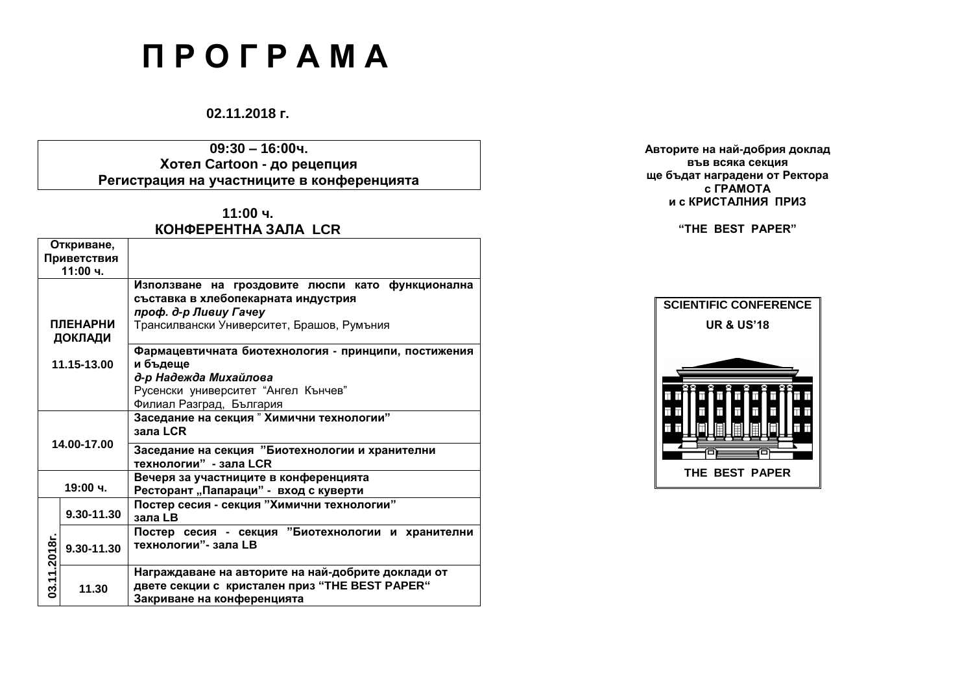# **П Р О Г Р А М А**

## **02.11.2018 г.**

**09:30 – 16:00ч. Хотел Cartoon - до рецепция Регистрация на участниците в конференцията**

## **11:00 ч. КОНФЕРЕНТНА ЗАЛА LCR**

| Откриване,      |            |                                                      |  |  |  |
|-----------------|------------|------------------------------------------------------|--|--|--|
| Приветствия     |            |                                                      |  |  |  |
| 11:00 ч.        |            |                                                      |  |  |  |
|                 |            | Използване на гроздовите люспи като функционална     |  |  |  |
| <b>ПЛЕНАРНИ</b> |            | съставка в хлебопекарната индустрия                  |  |  |  |
|                 |            | проф. д-р Ливиу Гачеу                                |  |  |  |
|                 |            | Трансилвански Университет, Брашов, Румъния           |  |  |  |
|                 |            |                                                      |  |  |  |
|                 |            | Фармацевтичната биотехнология - принципи, постижения |  |  |  |
| 11.15-13.00     |            | и бъдеще                                             |  |  |  |
|                 |            | д-р Надежда Михайлова                                |  |  |  |
|                 |            | Русенски университет "Ангел Кънчев"                  |  |  |  |
|                 |            | Филиал Разград, България                             |  |  |  |
| 14.00-17.00     |            | Заседание на секция" Химични технологии"             |  |  |  |
|                 |            |                                                      |  |  |  |
|                 |            | зала LCR                                             |  |  |  |
|                 |            | Заседание на секция "Биотехнологии и хранителни      |  |  |  |
|                 |            | технологии" - зала LCR                               |  |  |  |
|                 |            |                                                      |  |  |  |
| 19:00 ч.        |            | Вечеря за участниците в конференцията                |  |  |  |
|                 |            | Ресторант "Папараци" - вход с куверти                |  |  |  |
|                 | 9.30-11.30 | Постер сесия - секция "Химични технологии"           |  |  |  |
|                 |            | зала LB                                              |  |  |  |
|                 | 9.30-11.30 | Постер сесия - секция "Биотехнологии и хранителни    |  |  |  |
|                 |            | технологии"- зала LB                                 |  |  |  |
| 03.11.2018г.    |            |                                                      |  |  |  |
|                 |            | Награждаване на авторите на най-добрите доклади от   |  |  |  |
|                 | 11.30      |                                                      |  |  |  |
|                 |            | двете секции с кристален приз "THE BEST PAPER"       |  |  |  |
|                 |            | Закриване на конференцията                           |  |  |  |

**Авторите на най-добрия доклад във всяка секция ще бъдат наградени от Ректора с ГРАМОТА и с КРИСТАЛНИЯ ПРИЗ** 

## **"THE BEST PAPER"**

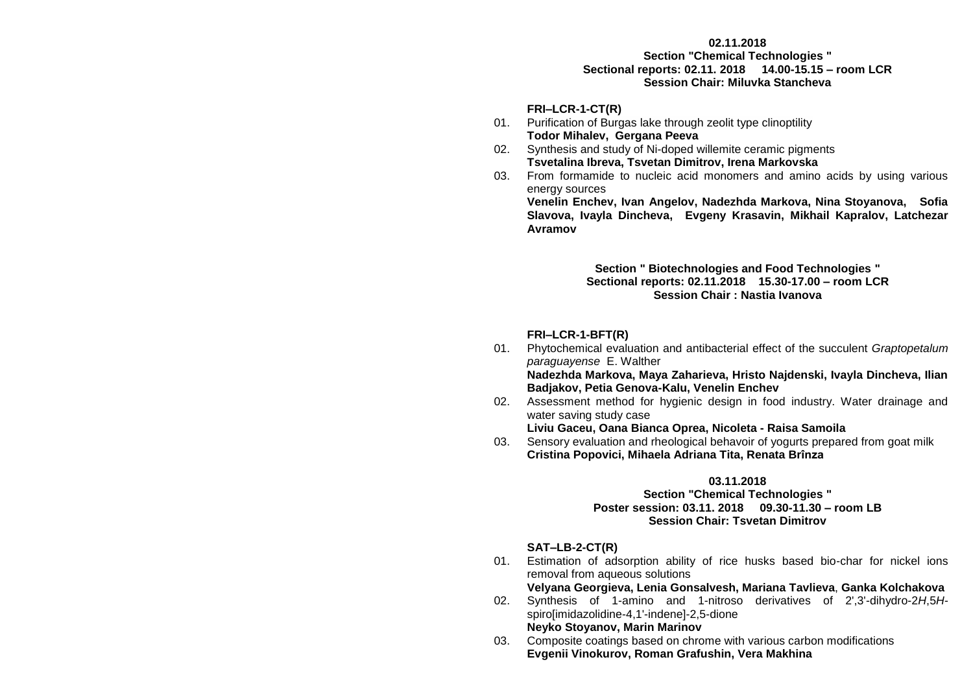#### **02.11.2018**

**Section "Chemical Technologies " Sectional reports: 02.11. 2018 14.00-15.15 – room LCR Session Chair: Miluvka Stancheva**

#### **FRI–LCR-1-CT(R)**

- 01. Purification of Burgas lake through zeolit type clinoptility **Todor Mihalev, Gergana Peeva**
- 02. Synthesis and study of Ni-doped willemite ceramic pigments **Tsvetalina Ibreva, Tsvetan Dimitrov, Irena Markovska**
- 03. From formamide to nucleic acid monomers and amino acids by using various energy sources

**Venelin Enchev, Ivan Angelov, Nadezhda Markova, Nina Stoyanova, Sofia Slavova, Ivayla Dincheva, Evgeny Krasavin, Mikhail Kapralov, Latchezar Avramov**

#### **Section " Biotechnologies and Food Technologies " Sectional reports: 02.11.2018 15.30-17.00 – room LCR Session Chair : Nastia Ivanova**

#### **FRI–LCR-1-BFT(R)**

01. Phytochemical evaluation and antibacterial effect of the succulent *Graptopetalum paraguayense* E. Walther

**Nadezhda Markova, Maya Zaharieva, Hristo Najdenski, Ivayla Dincheva, Ilian Badjakov, Petia Genova-Kalu, Venelin Enchev**

02. Assessment method for hygienic design in food industry. Water drainage and water saving study case

**Liviu Gaceu, Oana Bianca Oprea, Nicoleta - Raisa Samoila**

03. Sensory evaluation and rheological behavoir of yogurts prepared from goat milk **Cristina Popovici, Mihaela Adriana Tita, Renata Brînza**

#### **03.11.2018**

#### **Section "Chemical Technologies " Poster session: 03.11. 2018 09.30-11.30 – room LB Session Chair: Tsvetan Dimitrov**

### **SAT–LB-2-CT(R)**

01. Estimation of adsorption ability of rice husks based bio-char for nickel ions removal from aqueous solutions

#### **Velyana Georgieva, Lenia Gonsalvesh, Mariana Tavlieva**, **Ganka Kolchakova**

- 02. Synthesis of 1-amino and 1-nitroso derivatives of 2',3'-dihydro-2*H*,5*H*spiro[imidazolidine-4,1'-indene]-2,5-dione **Neyko Stoyanov, Marin Marinov**
- 03. Composite coatings based on chrome with various carbon modifications **Evgenii Vinokurov, Roman Grafushin, Vera Makhina**